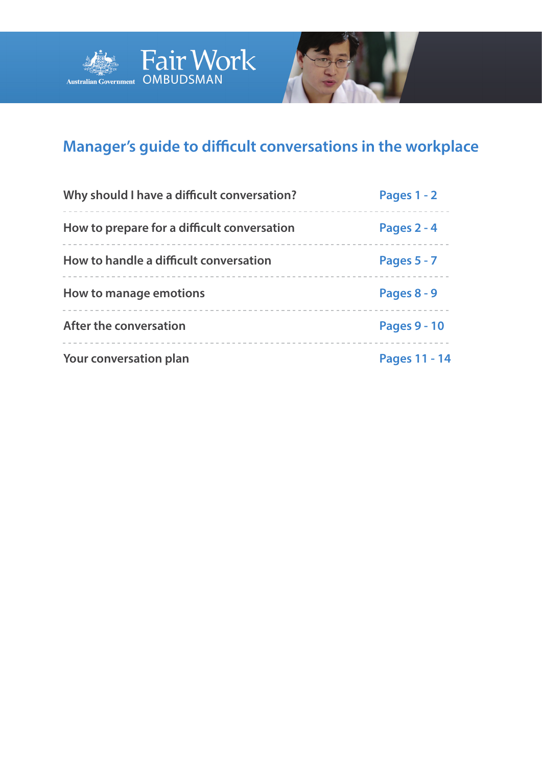



# **Manager's guide to difficult conversations in the workplace**

| Why should I have a difficult conversation? | Pages 1 - 2         |
|---------------------------------------------|---------------------|
| How to prepare for a difficult conversation | Pages 2 - 4         |
| How to handle a difficult conversation      | Pages $5 - 7$       |
| How to manage emotions                      | Pages 8 - 9         |
| After the conversation                      | <b>Pages 9 - 10</b> |
| Your conversation plan                      | Pages 11 -<br>14    |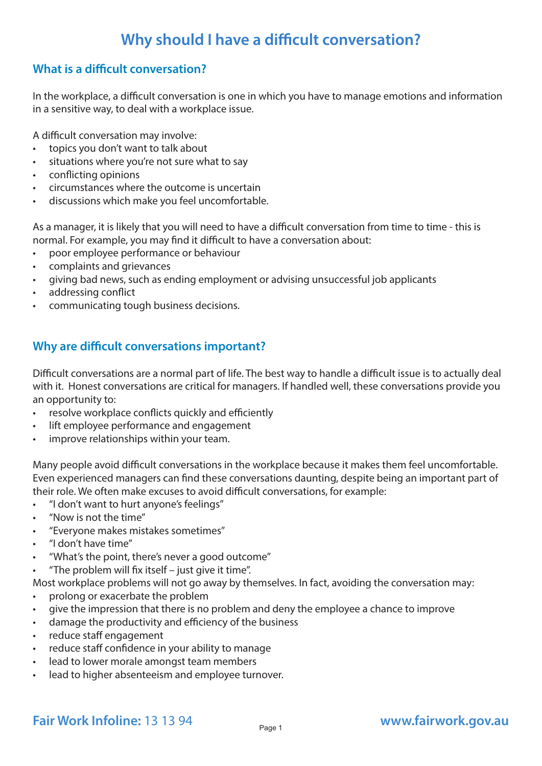# **Why should I have a difficult conversation?**

### **What is a difficult conversation?**

In the workplace, a difficult conversation is one in which you have to manage emotions and information in a sensitive way, to deal with a workplace issue.

A difficult conversation may involve:

- topics you don't want to talk about
- situations where you're not sure what to say
- conflicting opinions
- circumstances where the outcome is uncertain
- discussions which make you feel uncomfortable.

As a manager, it is likely that you will need to have a difficult conversation from time to time - this is normal. For example, you may find it difficult to have a conversation about:

- poor employee performance or behaviour
- complaints and grievances
- giving bad news, such as ending employment or advising unsuccessful job applicants
- addressing conflict
- communicating tough business decisions.

### **Why are difficult conversations important?**

Difficult conversations are a normal part of life. The best way to handle a difficult issue is to actually deal with it. Honest conversations are critical for managers. If handled well, these conversations provide you an opportunity to:

- resolve workplace conflicts quickly and efficiently
- lift employee performance and engagement
- improve relationships within your team.

Many people avoid difficult conversations in the workplace because it makes them feel uncomfortable. Even experienced managers can find these conversations daunting, despite being an important part of their role. We often make excuses to avoid difficult conversations, for example:

- "I don't want to hurt anyone's feelings"
- "Now is not the time"
- "Everyone makes mistakes sometimes"
- "I don't have time"
- ''What's the point, there's never a good outcome"
- "The problem will fix itself just give it time".

Most workplace problems will not go away by themselves. In fact, avoiding the conversation may:

- prolong or exacerbate the problem
- give the impression that there is no problem and deny the employee a chance to improve
- damage the productivity and efficiency of the business
- reduce staff engagement
- reduce staff confidence in your ability to manage
- lead to lower morale amongst team members
- lead to higher absenteeism and employee turnover.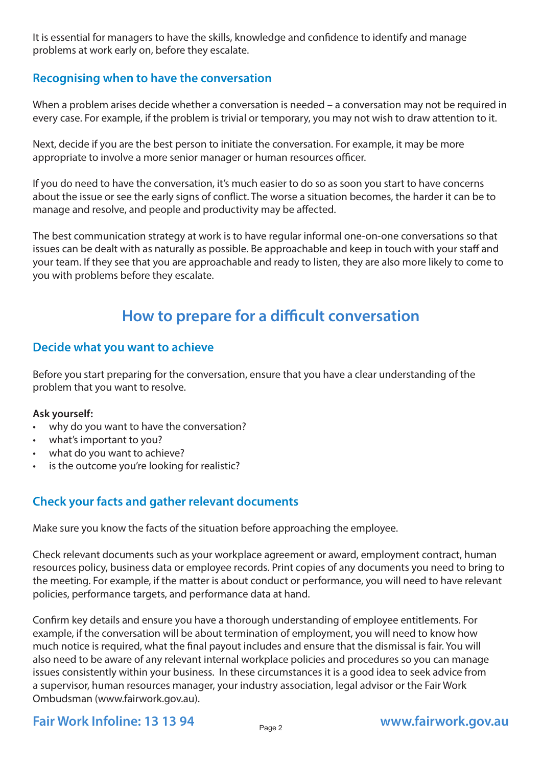It is essential for managers to have the skills, knowledge and confidence to identify and manage problems at work early on, before they escalate.

### **Recognising when to have the conversation**

When a problem arises decide whether a conversation is needed – a conversation may not be required in every case. For example, if the problem is trivial or temporary, you may not wish to draw attention to it.

Next, decide if you are the best person to initiate the conversation. For example, it may be more appropriate to involve a more senior manager or human resources officer.

If you do need to have the conversation, it's much easier to do so as soon you start to have concerns about the issue or see the early signs of conflict. The worse a situation becomes, the harder it can be to manage and resolve, and people and productivity may be affected.

The best communication strategy at work is to have regular informal one-on-one conversations so that issues can be dealt with as naturally as possible. Be approachable and keep in touch with your staff and your team. If they see that you are approachable and ready to listen, they are also more likely to come to you with problems before they escalate.

# **How to prepare for a difficult conversation**

#### **Decide what you want to achieve**

Before you start preparing for the conversation, ensure that you have a clear understanding of the problem that you want to resolve.

#### **Ask yourself:**

- why do you want to have the conversation?
- what's important to you?
- what do you want to achieve?
- is the outcome you're looking for realistic?

### **Check your facts and gather relevant documents**

Make sure you know the facts of the situation before approaching the employee.

Check relevant documents such as your workplace agreement or award, employment contract, human resources policy, business data or employee records. Print copies of any documents you need to bring to the meeting. For example, if the matter is about conduct or performance, you will need to have relevant policies, performance targets, and performance data at hand.

Confirm key details and ensure you have a thorough understanding of employee entitlements. For example, if the conversation will be about termination of employment, you will need to know how much notice is required, what the final payout includes and ensure that the dismissal is fair. You will also need to be aware of any relevant internal workplace policies and procedures so you can manage issues consistently within your business. In these circumstances it is a good idea to seek advice from a supervisor, human resources manager, your industry association, legal advisor or the Fair Work Ombudsman (www.fairwork.gov.au).

## **Fair Work Infoline: 13 13 94 [www.fairwork.gov.au](http://www.fairwork.gov.au/)**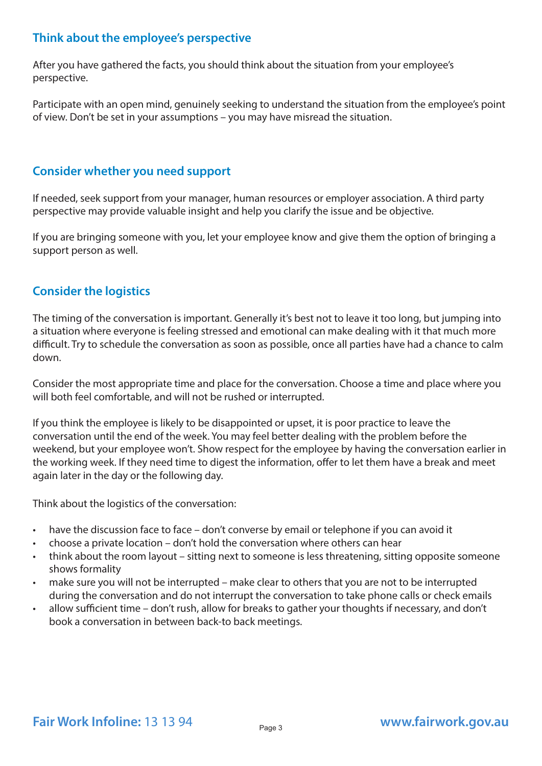### **Think about the employee's perspective**

After you have gathered the facts, you should think about the situation from your employee's perspective.

Participate with an open mind, genuinely seeking to understand the situation from the employee's point of view. Don't be set in your assumptions – you may have misread the situation.

### **Consider whether you need support**

If needed, seek support from your manager, human resources or employer association. A third party perspective may provide valuable insight and help you clarify the issue and be objective.

If you are bringing someone with you, let your employee know and give them the option of bringing a support person as well.

### **Consider the logistics**

The timing of the conversation is important. Generally it's best not to leave it too long, but jumping into a situation where everyone is feeling stressed and emotional can make dealing with it that much more difficult. Try to schedule the conversation as soon as possible, once all parties have had a chance to calm down.

Consider the most appropriate time and place for the conversation. Choose a time and place where you will both feel comfortable, and will not be rushed or interrupted.

If you think the employee is likely to be disappointed or upset, it is poor practice to leave the conversation until the end of the week. You may feel better dealing with the problem before the weekend, but your employee won't. Show respect for the employee by having the conversation earlier in the working week. If they need time to digest the information, offer to let them have a break and meet again later in the day or the following day.

Think about the logistics of the conversation:

- have the discussion face to face don't converse by email or telephone if you can avoid it
- choose a private location don't hold the conversation where others can hear
- think about the room layout sitting next to someone is less threatening, sitting opposite someone shows formality
- make sure you will not be interrupted make clear to others that you are not to be interrupted during the conversation and do not interrupt the conversation to take phone calls or check emails
- allow sufficient time don't rush, allow for breaks to gather your thoughts if necessary, and don't book a conversation in between back-to back meetings.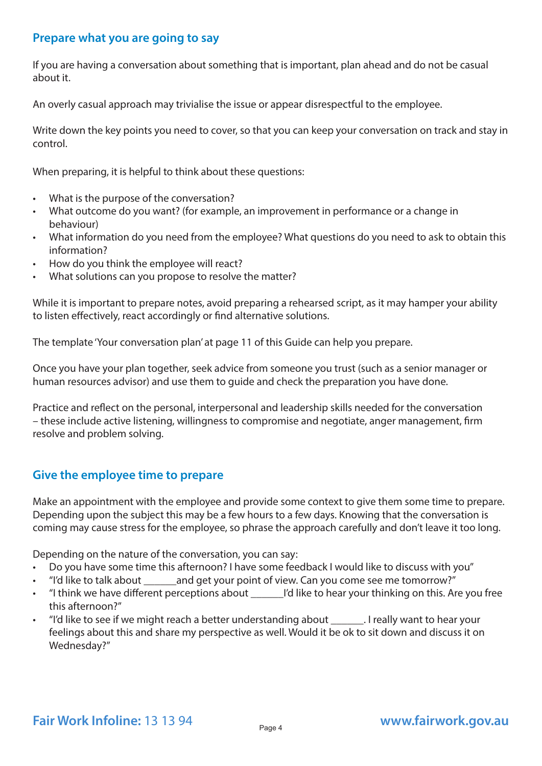#### **Prepare what you are going to say**

If you are having a conversation about something that is important, plan ahead and do not be casual about it.

An overly casual approach may trivialise the issue or appear disrespectful to the employee.

Write down the key points you need to cover, so that you can keep your conversation on track and stay in control.

When preparing, it is helpful to think about these questions:

- What is the purpose of the conversation?
- What outcome do you want? (for example, an improvement in performance or a change in behaviour)
- What information do you need from the employee? What questions do you need to ask to obtain this information?
- How do you think the employee will react?
- What solutions can you propose to resolve the matter?

While it is important to prepare notes, avoid preparing a rehearsed script, as it may hamper your ability to listen effectively, react accordingly or find alternative solutions.

The template 'Your conversation plan' at page 11 of this Guide can help you prepare.

Once you have your plan together, seek advice from someone you trust (such as a senior manager or human resources advisor) and use them to guide and check the preparation you have done.

Practice and reflect on the personal, interpersonal and leadership skills needed for the conversation – these include active listening, willingness to compromise and negotiate, anger management, firm resolve and problem solving.

### **Give the employee time to prepare**

Make an appointment with the employee and provide some context to give them some time to prepare. Depending upon the subject this may be a few hours to a few days. Knowing that the conversation is coming may cause stress for the employee, so phrase the approach carefully and don't leave it too long.

Depending on the nature of the conversation, you can say:

- Do you have some time this afternoon? I have some feedback I would like to discuss with you"
- "I'd like to talk about \_\_\_\_\_\_and get your point of view. Can you come see me tomorrow?"
- "I think we have different perceptions about \_\_\_\_\_\_I'd like to hear your thinking on this. Are you free this afternoon?"
- "I'd like to see if we might reach a better understanding about \_\_\_\_\_\_. I really want to hear your feelings about this and share my perspective as well. Would it be ok to sit down and discuss it on Wednesday?"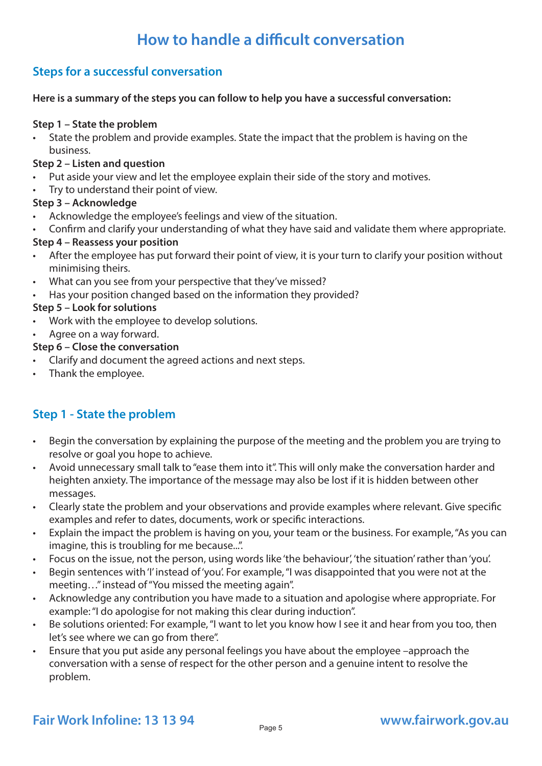# **How to handle a difficult conversation**

## **Steps for a successful conversation**

#### **Here is a summary of the steps you can follow to help you have a successful conversation:**

#### **Step 1 – State the problem**

• State the problem and provide examples. State the impact that the problem is having on the business.

#### **Step 2 – Listen and question**

- Put aside your view and let the employee explain their side of the story and motives.
- Try to understand their point of view.

#### **Step 3 – Acknowledge**

- Acknowledge the employee's feelings and view of the situation.
- Confirm and clarify your understanding of what they have said and validate them where appropriate.

#### **Step 4 – Reassess your position**

- After the employee has put forward their point of view, it is your turn to clarify your position without minimising theirs.
- What can you see from your perspective that they've missed?
- Has your position changed based on the information they provided?

#### **Step 5 – Look for solutions**

- Work with the employee to develop solutions.
- Agree on a way forward.
- **Step 6 Close the conversation**
- Clarify and document the agreed actions and next steps.
- Thank the employee.

## **Step 1 - State the problem**

- Begin the conversation by explaining the purpose of the meeting and the problem you are trying to resolve or goal you hope to achieve.
- Avoid unnecessary small talk to "ease them into it". This will only make the conversation harder and heighten anxiety. The importance of the message may also be lost if it is hidden between other messages.
- Clearly state the problem and your observations and provide examples where relevant. Give specific examples and refer to dates, documents, work or specific interactions.
- Explain the impact the problem is having on you, your team or the business. For example, "As you can imagine, this is troubling for me because...".
- Focus on the issue, not the person, using words like 'the behaviour', 'the situation' rather than 'you'.
- Begin sentences with 'I' instead of 'you'. For example, "I was disappointed that you were not at the meeting…" instead of "You missed the meeting again".
- Acknowledge any contribution you have made to a situation and apologise where appropriate. For example: "I do apologise for not making this clear during induction".
- Be solutions oriented: For example, "I want to let you know how I see it and hear from you too, then let's see where we can go from there".
- Ensure that you put aside any personal feelings you have about the employee –approach the conversation with a sense of respect for the other person and a genuine intent to resolve the problem.

# Fair Work Infoline: 13 13 94 *Page 5* **[www.fairwork.gov.au](http://www.fairwork.gov.au/)**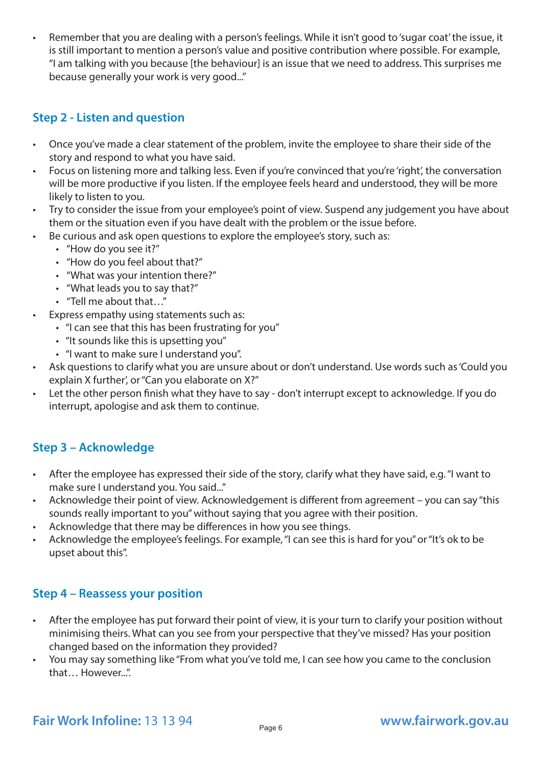• Remember that you are dealing with a person's feelings. While it isn't good to 'sugar coat' the issue, it is still important to mention a person's value and positive contribution where possible. For example, "I am talking with you because [the behaviour] is an issue that we need to address. This surprises me because generally your work is very good..."

### **Step 2 - Listen and question**

- Once you've made a clear statement of the problem, invite the employee to share their side of the story and respond to what you have said.
- Focus on listening more and talking less. Even if you're convinced that you're 'right', the conversation will be more productive if you listen. If the employee feels heard and understood, they will be more likely to listen to you.
- Try to consider the issue from your employee's point of view. Suspend any judgement you have about them or the situation even if you have dealt with the problem or the issue before.
- Be curious and ask open questions to explore the employee's story, such as:
	- "How do you see it?"
	- "How do you feel about that?"
	- "What was your intention there?"
	- "What leads you to say that?"
	- "Tell me about that…"
- Express empathy using statements such as:
	- "I can see that this has been frustrating for you"
	- "It sounds like this is upsetting you"
	- "I want to make sure I understand you".
- Ask questions to clarify what you are unsure about or don't understand. Use words such as 'Could you explain X further', or "Can you elaborate on X?"
- Let the other person finish what they have to say don't interrupt except to acknowledge. If you do interrupt, apologise and ask them to continue.

## **Step 3 – Acknowledge**

- After the employee has expressed their side of the story, clarify what they have said, e.g. "I want to make sure I understand you. You said..."
- Acknowledge their point of view. Acknowledgement is different from agreement you can say "this sounds really important to you" without saying that you agree with their position.
- Acknowledge that there may be differences in how you see things.
- Acknowledge the employee's feelings. For example, "I can see this is hard for you" or "It's ok to be upset about this".

### **Step 4 – Reassess your position**

- After the employee has put forward their point of view, it is your turn to clarify your position without minimising theirs. What can you see from your perspective that they've missed? Has your position changed based on the information they provided?
- You may say something like "From what you've told me, I can see how you came to the conclusion that… However...".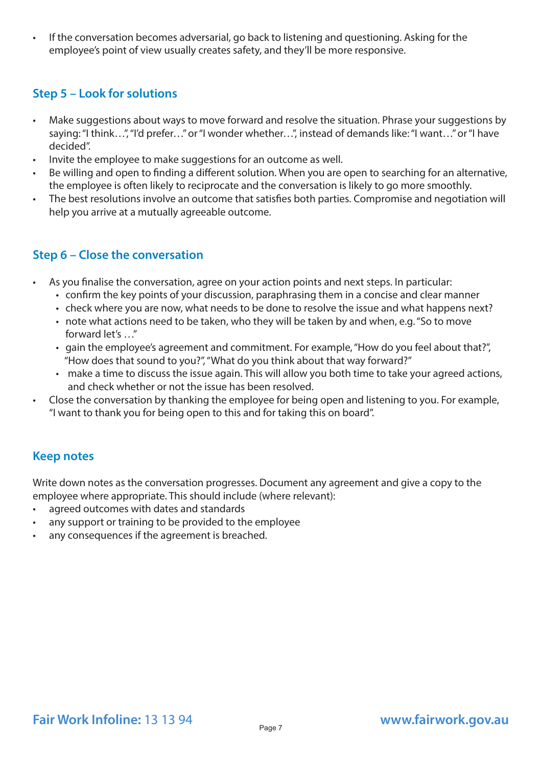• If the conversation becomes adversarial, go back to listening and questioning. Asking for the employee's point of view usually creates safety, and they'll be more responsive.

## **Step 5 – Look for solutions**

- Make suggestions about ways to move forward and resolve the situation. Phrase your suggestions by saying: "I think…", "I'd prefer…" or "I wonder whether…", instead of demands like: "I want…" or "I have decided".
- Invite the employee to make suggestions for an outcome as well.
- Be willing and open to finding a different solution. When you are open to searching for an alternative, the employee is often likely to reciprocate and the conversation is likely to go more smoothly.
- The best resolutions involve an outcome that satisfies both parties. Compromise and negotiation will help you arrive at a mutually agreeable outcome.

## **Step 6 – Close the conversation**

- As you finalise the conversation, agree on your action points and next steps. In particular:
	- confirm the key points of your discussion, paraphrasing them in a concise and clear manner
	- check where you are now, what needs to be done to resolve the issue and what happens next?
	- note what actions need to be taken, who they will be taken by and when, e.g. "So to move forward let's …"
	- gain the employee's agreement and commitment. For example, "How do you feel about that?", "How does that sound to you?", "What do you think about that way forward?"
	- make a time to discuss the issue again. This will allow you both time to take your agreed actions, and check whether or not the issue has been resolved.
- Close the conversation by thanking the employee for being open and listening to you. For example, "I want to thank you for being open to this and for taking this on board".

## **Keep notes**

Write down notes as the conversation progresses. Document any agreement and give a copy to the employee where appropriate. This should include (where relevant):

- agreed outcomes with dates and standards
- any support or training to be provided to the employee
- any consequences if the agreement is breached.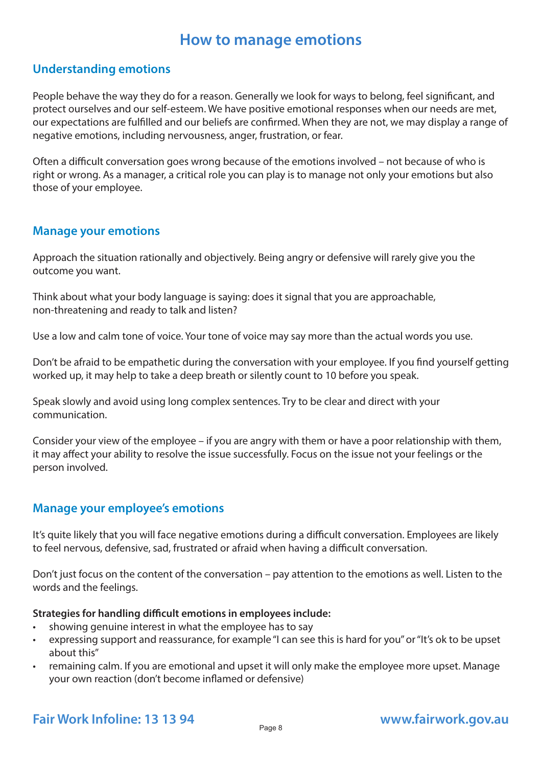# **How to manage emotions**

### **Understanding emotions**

People behave the way they do for a reason. Generally we look for ways to belong, feel significant, and protect ourselves and our self-esteem. We have positive emotional responses when our needs are met, our expectations are fulfilled and our beliefs are confirmed. When they are not, we may display a range of negative emotions, including nervousness, anger, frustration, or fear.

Often a difficult conversation goes wrong because of the emotions involved – not because of who is right or wrong. As a manager, a critical role you can play is to manage not only your emotions but also those of your employee.

#### **Manage your emotions**

Approach the situation rationally and objectively. Being angry or defensive will rarely give you the outcome you want.

Think about what your body language is saying: does it signal that you are approachable, non-threatening and ready to talk and listen?

Use a low and calm tone of voice. Your tone of voice may say more than the actual words you use.

Don't be afraid to be empathetic during the conversation with your employee. If you find yourself getting worked up, it may help to take a deep breath or silently count to 10 before you speak.

Speak slowly and avoid using long complex sentences. Try to be clear and direct with your communication.

Consider your view of the employee – if you are angry with them or have a poor relationship with them, it may affect your ability to resolve the issue successfully. Focus on the issue not your feelings or the person involved.

### **Manage your employee's emotions**

It's quite likely that you will face negative emotions during a difficult conversation. Employees are likely to feel nervous, defensive, sad, frustrated or afraid when having a difficult conversation.

Don't just focus on the content of the conversation – pay attention to the emotions as well. Listen to the words and the feelings.

#### **Strategies for handling difficult emotions in employees include:**

- showing genuine interest in what the employee has to say
- expressing support and reassurance, for example "I can see this is hard for you" or "It's ok to be upset about this"
- remaining calm. If you are emotional and upset it will only make the employee more upset. Manage your own reaction (don't become inflamed or defensive)

# Fair Work Infoline: 13 13 94 *Page 8* **[www.fairwork.gov.au](http://www.fairwork.gov.au/)**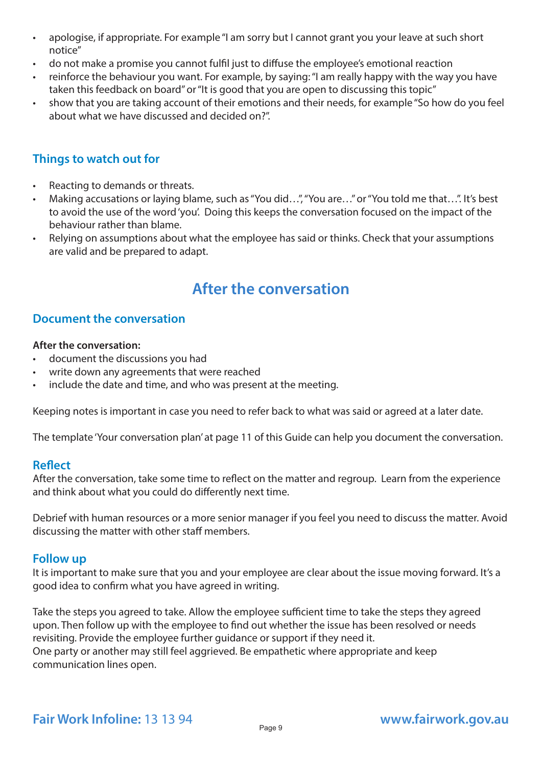- apologise, if appropriate. For example "I am sorry but I cannot grant you your leave at such short notice"
- do not make a promise you cannot fulfil just to diffuse the employee's emotional reaction
- reinforce the behaviour you want. For example, by saying: "I am really happy with the way you have taken this feedback on board" or "It is good that you are open to discussing this topic"
- show that you are taking account of their emotions and their needs, for example "So how do you feel about what we have discussed and decided on?".

## **Things to watch out for**

- Reacting to demands or threats.
- Making accusations or laying blame, such as "You did…", "You are…" or "You told me that…". It's best to avoid the use of the word 'you'. Doing this keeps the conversation focused on the impact of the behaviour rather than blame.
- Relying on assumptions about what the employee has said or thinks. Check that your assumptions are valid and be prepared to adapt.

# **After the conversation**

### **Document the conversation**

#### **After the conversation:**

- document the discussions you had
- write down any agreements that were reached
- include the date and time, and who was present at the meeting.

Keeping notes is important in case you need to refer back to what was said or agreed at a later date.

The template 'Your conversation plan' at page 11 of this Guide can help you document the conversation.

#### **Reflect**

After the conversation, take some time to reflect on the matter and regroup. Learn from the experience and think about what you could do differently next time.

Debrief with human resources or a more senior manager if you feel you need to discuss the matter. Avoid discussing the matter with other staff members.

#### **Follow up**

It is important to make sure that you and your employee are clear about the issue moving forward. It's a good idea to confirm what you have agreed in writing.

Take the steps you agreed to take. Allow the employee sufficient time to take the steps they agreed upon. Then follow up with the employee to find out whether the issue has been resolved or needs revisiting. Provide the employee further guidance or support if they need it. One party or another may still feel aggrieved. Be empathetic where appropriate and keep communication lines open.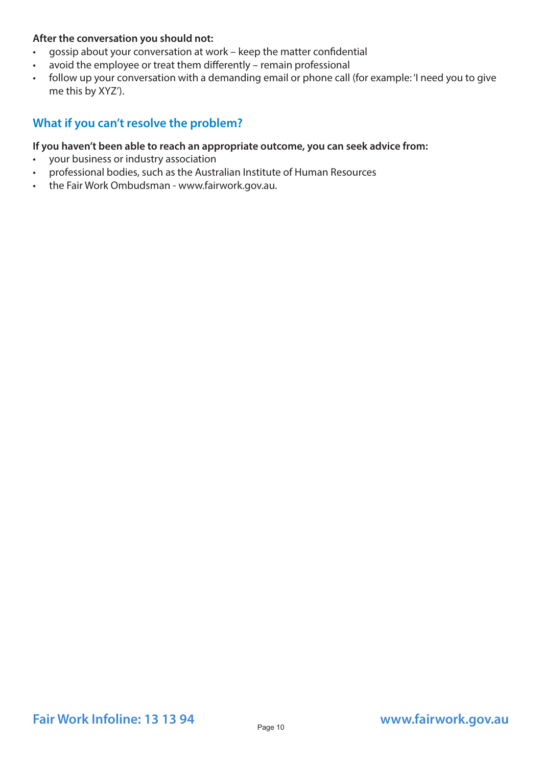#### **After the conversation you should not:**

- gossip about your conversation at work keep the matter confidential
- avoid the employee or treat them differently remain professional
- follow up your conversation with a demanding email or phone call (for example: 'I need you to give me this by XYZ').

### **What if you can't resolve the problem?**

#### **If you haven't been able to reach an appropriate outcome, you can seek advice from:**

- your business or industry association
- professional bodies, such as the Australian Institute of Human Resources
- the Fair Work Ombudsman www.fairwork.gov.au.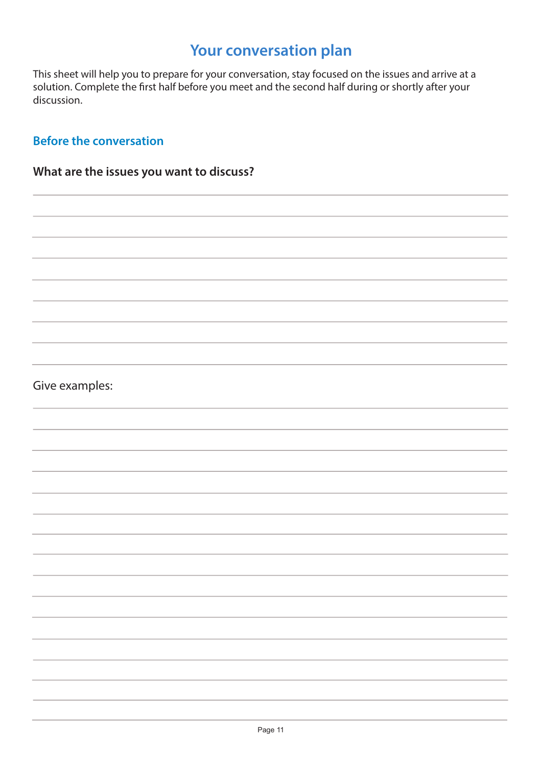# **Your conversation plan**

This sheet will help you to prepare for your conversation, stay focused on the issues and arrive at a solution. Complete the first half before you meet and the second half during or shortly after your discussion.

### **Before the conversation**

# **What are the issues you want to discuss?**

## Give examples: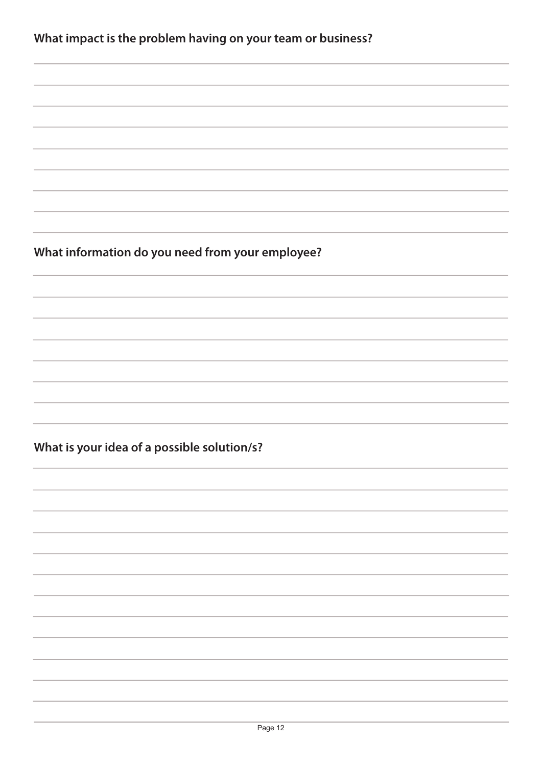| What impact is the problem having on your team or business? |  |  |
|-------------------------------------------------------------|--|--|
|                                                             |  |  |

**What information do you need from your employee?**

**What is your idea of a possible solution/s?**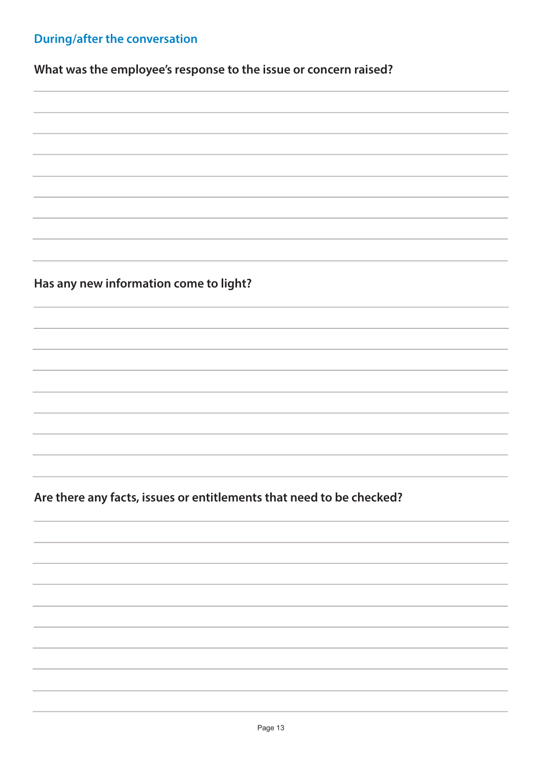# **During/after the conversation**

**What was the employee's response to the issue or concern raised?** 

**Has any new information come to light?**

**Are there any facts, issues or entitlements that need to be checked?**